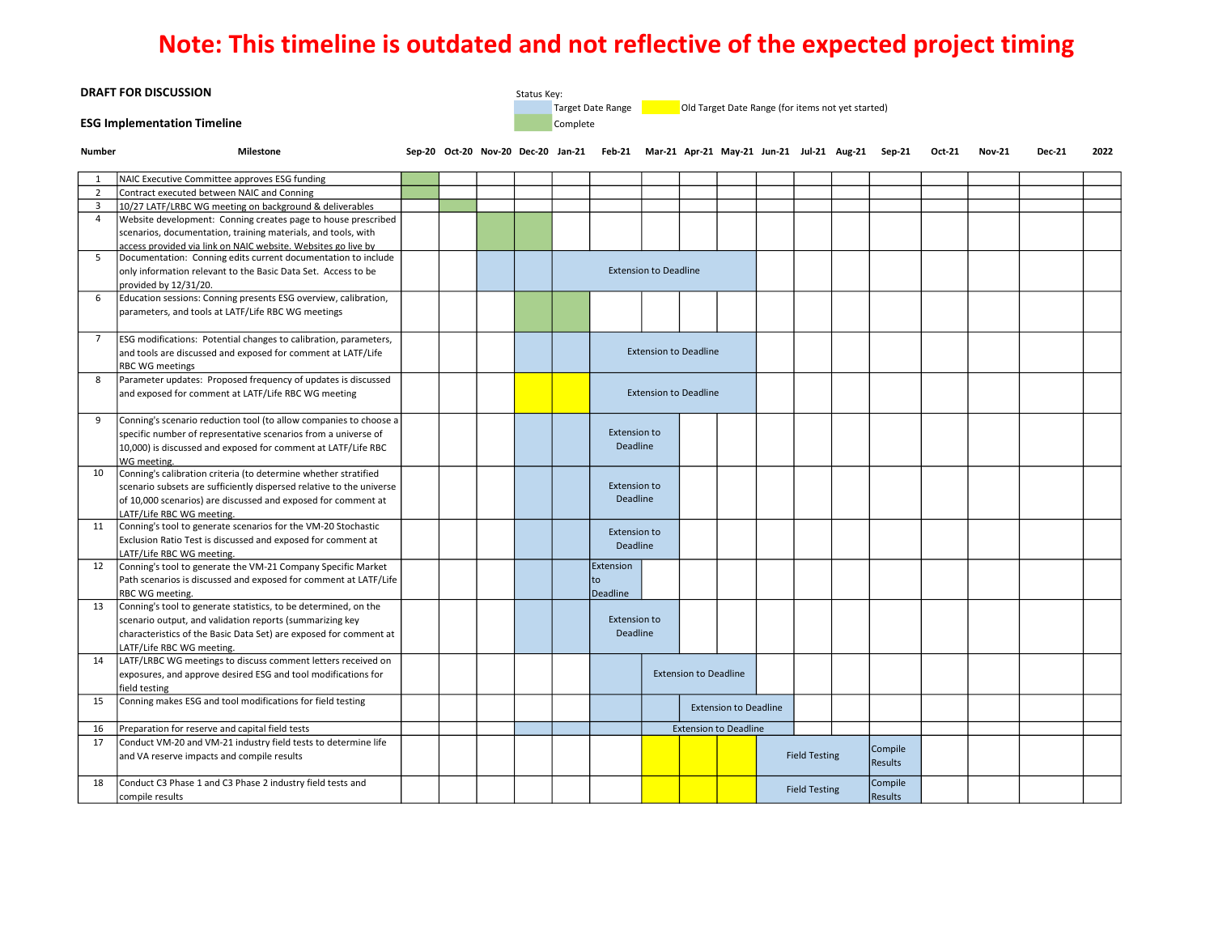## **Note: This timeline is outdated and not reflective of the expected project timing**

| <b>DRAFT FOR DISCUSSION</b>        |                                                                                         |  |  |          | Status Key:                                                            |                                 |                                                                                                   |                              |                              |  |  |                      |  |         |  |               |               |      |
|------------------------------------|-----------------------------------------------------------------------------------------|--|--|----------|------------------------------------------------------------------------|---------------------------------|---------------------------------------------------------------------------------------------------|------------------------------|------------------------------|--|--|----------------------|--|---------|--|---------------|---------------|------|
|                                    |                                                                                         |  |  |          | Target Date Range<br>Old Target Date Range (for items not yet started) |                                 |                                                                                                   |                              |                              |  |  |                      |  |         |  |               |               |      |
| <b>ESG Implementation Timeline</b> |                                                                                         |  |  | Complete |                                                                        |                                 |                                                                                                   |                              |                              |  |  |                      |  |         |  |               |               |      |
| <b>Number</b>                      | <b>Milestone</b>                                                                        |  |  |          |                                                                        |                                 | Sep-20 Oct-20 Nov-20 Dec-20 Jan-21 Feb-21 Mar-21 Apr-21 May-21 Jun-21 Jul-21 Aug-21 Sep-21 Oct-21 |                              |                              |  |  |                      |  |         |  | <b>Nov-21</b> | <b>Dec-21</b> | 2022 |
| 1                                  | NAIC Executive Committee approves ESG funding                                           |  |  |          |                                                                        |                                 |                                                                                                   |                              |                              |  |  |                      |  |         |  |               |               |      |
| $\overline{2}$                     | Contract executed between NAIC and Conning                                              |  |  |          |                                                                        |                                 |                                                                                                   |                              |                              |  |  |                      |  |         |  |               |               |      |
| $\overline{3}$                     | 10/27 LATF/LRBC WG meeting on background & deliverables                                 |  |  |          |                                                                        |                                 |                                                                                                   |                              |                              |  |  |                      |  |         |  |               |               |      |
| 4                                  | Website development: Conning creates page to house prescribed                           |  |  |          |                                                                        |                                 |                                                                                                   |                              |                              |  |  |                      |  |         |  |               |               |      |
|                                    | scenarios, documentation, training materials, and tools, with                           |  |  |          |                                                                        |                                 |                                                                                                   |                              |                              |  |  |                      |  |         |  |               |               |      |
|                                    | access provided via link on NAIC website. Websites go live by                           |  |  |          |                                                                        |                                 |                                                                                                   |                              |                              |  |  |                      |  |         |  |               |               |      |
| 5                                  | Documentation: Conning edits current documentation to include                           |  |  |          |                                                                        |                                 |                                                                                                   |                              |                              |  |  |                      |  |         |  |               |               |      |
|                                    | only information relevant to the Basic Data Set. Access to be                           |  |  |          |                                                                        |                                 | <b>Extension to Deadline</b>                                                                      |                              |                              |  |  |                      |  |         |  |               |               |      |
|                                    | provided by 12/31/20.                                                                   |  |  |          |                                                                        |                                 |                                                                                                   |                              |                              |  |  |                      |  |         |  |               |               |      |
| 6                                  | Education sessions: Conning presents ESG overview, calibration,                         |  |  |          |                                                                        |                                 |                                                                                                   |                              |                              |  |  |                      |  |         |  |               |               |      |
|                                    | parameters, and tools at LATF/Life RBC WG meetings                                      |  |  |          |                                                                        |                                 |                                                                                                   |                              |                              |  |  |                      |  |         |  |               |               |      |
|                                    |                                                                                         |  |  |          |                                                                        |                                 |                                                                                                   |                              |                              |  |  |                      |  |         |  |               |               |      |
| $\overline{7}$                     | ESG modifications: Potential changes to calibration, parameters,                        |  |  |          |                                                                        |                                 |                                                                                                   | <b>Extension to Deadline</b> |                              |  |  |                      |  |         |  |               |               |      |
|                                    | and tools are discussed and exposed for comment at LATF/Life                            |  |  |          |                                                                        |                                 |                                                                                                   |                              |                              |  |  |                      |  |         |  |               |               |      |
| 8                                  | <b>RBC WG meetings</b><br>Parameter updates: Proposed frequency of updates is discussed |  |  |          |                                                                        |                                 |                                                                                                   |                              |                              |  |  |                      |  |         |  |               |               |      |
|                                    | and exposed for comment at LATF/Life RBC WG meeting                                     |  |  |          |                                                                        |                                 |                                                                                                   | <b>Extension to Deadline</b> |                              |  |  |                      |  |         |  |               |               |      |
|                                    |                                                                                         |  |  |          |                                                                        |                                 |                                                                                                   |                              |                              |  |  |                      |  |         |  |               |               |      |
| 9                                  | Conning's scenario reduction tool (to allow companies to choose a                       |  |  |          |                                                                        |                                 |                                                                                                   |                              |                              |  |  |                      |  |         |  |               |               |      |
|                                    | specific number of representative scenarios from a universe of                          |  |  |          |                                                                        | <b>Extension to</b>             |                                                                                                   |                              |                              |  |  |                      |  |         |  |               |               |      |
|                                    | 10,000) is discussed and exposed for comment at LATF/Life RBC                           |  |  |          |                                                                        |                                 | <b>Deadline</b>                                                                                   |                              |                              |  |  |                      |  |         |  |               |               |      |
|                                    | WG meeting.                                                                             |  |  |          |                                                                        |                                 |                                                                                                   |                              |                              |  |  |                      |  |         |  |               |               |      |
| 10                                 | Conning's calibration criteria (to determine whether stratified                         |  |  |          |                                                                        |                                 |                                                                                                   |                              |                              |  |  |                      |  |         |  |               |               |      |
|                                    | scenario subsets are sufficiently dispersed relative to the universe                    |  |  |          |                                                                        |                                 | <b>Extension to</b>                                                                               |                              |                              |  |  |                      |  |         |  |               |               |      |
|                                    | of 10,000 scenarios) are discussed and exposed for comment at                           |  |  |          |                                                                        | Deadline                        |                                                                                                   |                              |                              |  |  |                      |  |         |  |               |               |      |
|                                    | LATF/Life RBC WG meeting.                                                               |  |  |          |                                                                        |                                 |                                                                                                   |                              |                              |  |  |                      |  |         |  |               |               |      |
| 11                                 | Conning's tool to generate scenarios for the VM-20 Stochastic                           |  |  |          |                                                                        |                                 | <b>Extension to</b>                                                                               |                              |                              |  |  |                      |  |         |  |               |               |      |
|                                    | Exclusion Ratio Test is discussed and exposed for comment at                            |  |  |          |                                                                        |                                 | Deadline                                                                                          |                              |                              |  |  |                      |  |         |  |               |               |      |
|                                    | LATF/Life RBC WG meeting.                                                               |  |  |          |                                                                        |                                 |                                                                                                   |                              |                              |  |  |                      |  |         |  |               |               |      |
| 12                                 | Conning's tool to generate the VM-21 Company Specific Market                            |  |  |          |                                                                        |                                 | Extension                                                                                         |                              |                              |  |  |                      |  |         |  |               |               |      |
|                                    | Path scenarios is discussed and exposed for comment at LATF/Life                        |  |  |          |                                                                        |                                 | to                                                                                                |                              |                              |  |  |                      |  |         |  |               |               |      |
|                                    | RBC WG meeting.                                                                         |  |  |          |                                                                        |                                 | Deadline                                                                                          |                              |                              |  |  |                      |  |         |  |               |               |      |
| 13                                 | Conning's tool to generate statistics, to be determined, on the                         |  |  |          |                                                                        | <b>Extension to</b><br>Deadline |                                                                                                   |                              |                              |  |  |                      |  |         |  |               |               |      |
|                                    | scenario output, and validation reports (summarizing key                                |  |  |          |                                                                        |                                 |                                                                                                   |                              |                              |  |  |                      |  |         |  |               |               |      |
|                                    | characteristics of the Basic Data Set) are exposed for comment at                       |  |  |          |                                                                        |                                 |                                                                                                   |                              |                              |  |  |                      |  |         |  |               |               |      |
|                                    | LATF/Life RBC WG meeting.                                                               |  |  |          |                                                                        |                                 |                                                                                                   |                              |                              |  |  |                      |  |         |  |               |               |      |
| 14                                 | LATF/LRBC WG meetings to discuss comment letters received on                            |  |  |          |                                                                        |                                 |                                                                                                   |                              | <b>Extension to Deadline</b> |  |  |                      |  |         |  |               |               |      |
|                                    | exposures, and approve desired ESG and tool modifications for                           |  |  |          |                                                                        |                                 |                                                                                                   |                              |                              |  |  |                      |  |         |  |               |               |      |
| 15                                 | field testing<br>Conning makes ESG and tool modifications for field testing             |  |  |          |                                                                        |                                 |                                                                                                   |                              |                              |  |  |                      |  |         |  |               |               |      |
|                                    |                                                                                         |  |  |          |                                                                        |                                 |                                                                                                   | <b>Extension to Deadline</b> |                              |  |  |                      |  |         |  |               |               |      |
| 16                                 | Preparation for reserve and capital field tests                                         |  |  |          |                                                                        |                                 |                                                                                                   |                              | <b>Extension to Deadline</b> |  |  |                      |  |         |  |               |               |      |
| 17                                 | Conduct VM-20 and VM-21 industry field tests to determine life                          |  |  |          |                                                                        |                                 |                                                                                                   |                              |                              |  |  |                      |  | Compile |  |               |               |      |
|                                    | and VA reserve impacts and compile results                                              |  |  |          |                                                                        |                                 |                                                                                                   |                              |                              |  |  | <b>Field Testing</b> |  | Results |  |               |               |      |
|                                    |                                                                                         |  |  |          |                                                                        |                                 |                                                                                                   |                              |                              |  |  |                      |  |         |  |               |               |      |
| 18                                 | Conduct C3 Phase 1 and C3 Phase 2 industry field tests and                              |  |  |          |                                                                        |                                 |                                                                                                   |                              |                              |  |  | <b>Field Testing</b> |  | Compile |  |               |               |      |
|                                    | compile results                                                                         |  |  |          |                                                                        |                                 |                                                                                                   |                              |                              |  |  |                      |  | Results |  |               |               |      |